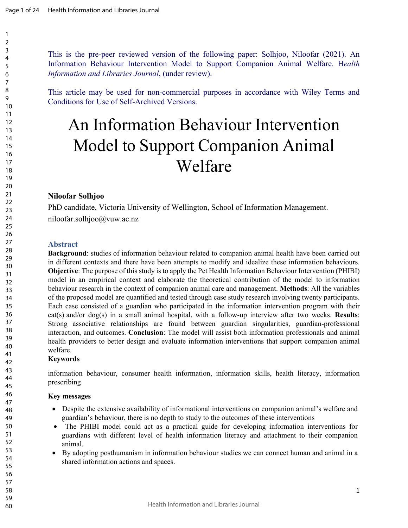This is the pre-peer reviewed version of the following paper: Solhjoo, Niloofar (2021). An Information Behaviour Intervention Model to Support Companion Animal Welfare. H*ealth Information and Libraries Journal*, (under review).

This article may be used for non-commercial purposes in accordance with Wiley Terms and Conditions for Use of Self-Archived Versions.

# An Information Behaviour Intervention Model to Support Companion Animal Welfare

# **Niloofar Solhjoo**

PhD candidate, Victoria University of Wellington, School of Information Management. niloofar.solhjoo@vuw.ac.nz

# **Abstract**

**Background**: studies of information behaviour related to companion animal health have been carried out in different contexts and there have been attempts to modify and idealize these information behaviours. **Objective**: The purpose of this study is to apply the Pet Health Information Behaviour Intervention (PHIBI) model in an empirical context and elaborate the theoretical contribution of the model to information behaviour research in the context of companion animal care and management. **Methods**: All the variables of the proposed model are quantified and tested through case study research involving twenty participants. Each case consisted of a guardian who participated in the information intervention program with their cat(s) and/or dog(s) in a small animal hospital, with a follow-up interview after two weeks. **Results**: Strong associative relationships are found between guardian singularities, guardian-professional interaction, and outcomes. **Conclusion**: The model will assist both information professionals and animal health providers to better design and evaluate information interventions that support companion animal welfare.

# **Keywords**

information behaviour, consumer health information, information skills, health literacy, information prescribing

# **Key messages**

- Despite the extensive availability of informational interventions on companion animal's welfare and guardian's behaviour, there is no depth to study to the outcomes of these interventions
- The PHIBI model could act as a practical guide for developing information interventions for guardians with different level of health information literacy and attachment to their companion animal.
- By adopting posthumanism in information behaviour studies we can connect human and animal in a shared information actions and spaces.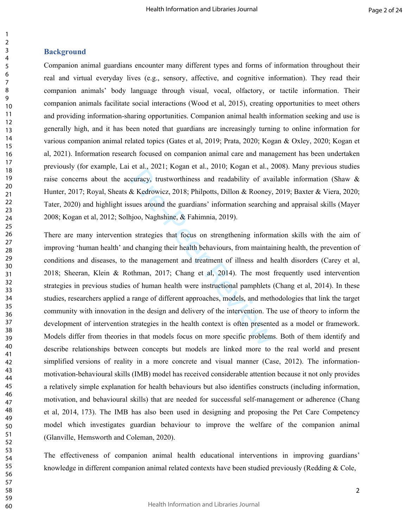## **Background**

Companion animal guardians encounter many different types and forms of information throughout their real and virtual everyday lives (e.g., sensory, affective, and cognitive information). They read their companion animals' body language through visual, vocal, olfactory, or tactile information. Their companion animals facilitate social interactions (Wood et al, 2015), creating opportunities to meet others and providing information-sharing opportunities. Companion animal health information seeking and use is generally high, and it has been noted that guardians are increasingly turning to online information for various companion animal related topics (Gates et al, 2019; Prata, 2020; Kogan & Oxley, 2020; Kogan et al, 2021). Information research focused on companion animal care and management has been undertaken previously (for example, Lai et al., 2021; Kogan et al., 2010; Kogan et al., 2008). Many previous studies raise concerns about the accuracy, trustworthiness and readability of available information (Shaw & Hunter, 2017; Royal, Sheats & Kedrowicz, 2018; Philpotts, Dillon & Rooney, 2019; Baxter & Viera, 2020; Tater, 2020) and highlight issues around the guardians' information searching and appraisal skills (Mayer 2008; Kogan et al, 2012; Solhjoo, Naghshine, & Fahimnia, 2019).

et al., 2021, regal et al., 2010, regal et al., 2<br>curacy, trustworthiness and readability of avaix<br>& Kedrowicz, 2018; Philpotts, Dillon & Rooney,<br>sues around the guardians' information searching<br>ajoo, Naghshine, & Fahimnia There are many intervention strategies that focus on strengthening information skills with the aim of improving 'human health' and changing their health behaviours, from maintaining health, the prevention of conditions and diseases, to the management and treatment of illness and health disorders (Carey et al, 2018; Sheeran, Klein & Rothman, 2017; Chang et al, 2014). The most frequently used intervention strategies in previous studies of human health were instructional pamphlets (Chang et al, 2014). In these studies, researchers applied a range of different approaches, models, and methodologies that link the target community with innovation in the design and delivery of the intervention. The use of theory to inform the development of intervention strategies in the health context is often presented as a model or framework. Models differ from theories in that models focus on more specific problems. Both of them identify and describe relationships between concepts but models are linked more to the real world and present simplified versions of reality in a more concrete and visual manner (Case, 2012). The informationmotivation-behavioural skills (IMB) model has received considerable attention because it not only provides a relatively simple explanation for health behaviours but also identifies constructs (including information, motivation, and behavioural skills) that are needed for successful self-management or adherence (Chang et al, 2014, 173). The IMB has also been used in designing and proposing the Pet Care Competency model which investigates guardian behaviour to improve the welfare of the companion animal (Glanville, Hemsworth and Coleman, 2020).

The effectiveness of companion animal health educational interventions in improving guardians' knowledge in different companion animal related contexts have been studied previously (Redding & Cole,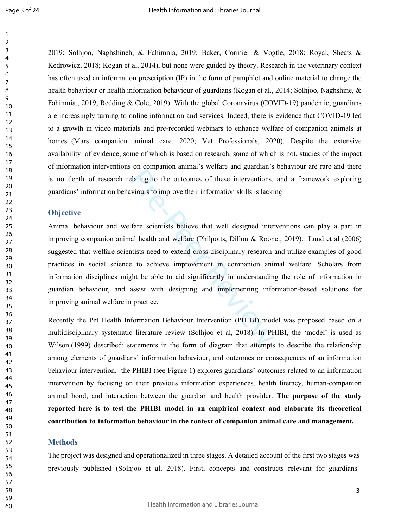2019; Solhjoo, Naghshineh, & Fahimnia, 2019; Baker, Cormier & Vogtle, 2018; Royal, Sheats & Kedrowicz, 2018; Kogan et al, 2014), but none were guided by theory. Research in the veterinary context has often used an information prescription (IP) in the form of pamphlet and online material to change the health behaviour or health information behaviour of guardians (Kogan et al., 2014; Solhjoo, Naghshine, & Fahimnia., 2019; Redding & Cole, 2019). With the global Coronavirus (COVID-19) pandemic, guardians are increasingly turning to online information and services. Indeed, there is evidence that COVID-19 led to a growth in video materials and pre-recorded webinars to enhance welfare of companion animals at homes (Mars companion animal care, 2020; Vet Professionals, 2020). Despite the extensive availability of evidence, some of which is based on research, some of which is not, studies of the impact of information interventions on companion animal's welfare and guardian's behaviour are rare and there is no depth of research relating to the outcomes of these interventions, and a framework exploring guardians' information behaviours to improve their information skills is lacking.

# **Objective**

Plating to the outcomes of these interventions,<br>Plating to the outcomes of these interventions,<br>wiours to improve their information skills is lacki<br>Ifare scientists believe that well designed inter<br>all health and welfare ( Animal behaviour and welfare scientists believe that well designed interventions can play a part in improving companion animal health and welfare (Philpotts, Dillon & Roonet, 2019). Lund et al (2006) suggested that welfare scientists need to extend cross-disciplinary research and utilize examples of good practices in social science to achieve improvement in companion animal welfare. Scholars from information disciplines might be able to aid significantly in understanding the role of information in guardian behaviour, and assist with designing and implementing information-based solutions for improving animal welfare in practice.

Recently the Pet Health Information Behaviour Intervention (PHIBI) model was proposed based on a multidisciplinary systematic literature review (Solhjoo et al, 2018). In PHIBI, the 'model' is used as Wilson (1999) described: statements in the form of diagram that attempts to describe the relationship among elements of guardians' information behaviour, and outcomes or consequences of an information behaviour intervention. the PHIBI (see Figure 1) explores guardians' outcomes related to an information intervention by focusing on their previous information experiences, health literacy, human-companion animal bond, and interaction between the guardian and health provider. **The purpose of the study reported here is to test the PHIBI model in an empirical context and elaborate its theoretical contribution to information behaviour in the context of companion animal care and management.** 

## **Methods**

The project was designed and operationalized in three stages. A detailed account of the first two stages was previously published (Solhjoo et al, 2018). First, concepts and constructs relevant for guardians'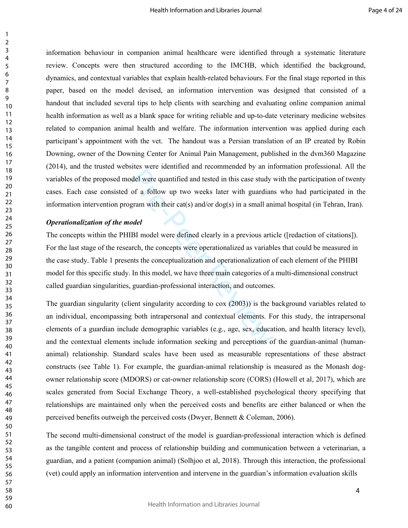information behaviour in companion animal healthcare were identified through a systematic literature review. Concepts were then structured according to the IMCHB, which identified the background, dynamics, and contextual variables that explain health-related behaviours. For the final stage reported in this paper, based on the model devised, an information intervention was designed that consisted of a handout that included several tips to help clients with searching and evaluating online companion animal health information as well as a blank space for writing reliable and up-to-date veterinary medicine websites related to companion animal health and welfare. The information intervention was applied during each participant's appointment with the vet. The handout was a Persian translation of an IP created by Robin Downing, owner of the Downing Center for Animal Pain Management, published in the dvm360 Magazine (2014), and the trusted websites were identified and recommended by an information professional. All the variables of the proposed model were quantified and tested in this case study with the participation of twenty cases. Each case consisted of a follow up two weeks later with guardians who had participated in the information intervention program with their cat(s) and/or dog(s) in a small animal hospital (in Tehran, Iran).

#### *Operationalization of the model*

Solvet a considerable wind is considered by an andel were quantified and tested in this case study of a follow up two weeks later with guardian gram with their cat(s) and/or dog(s) in a small ani odel (BI model were defin The concepts within the PHIBI model were defined clearly in a previous article ([redaction of citations]). For the last stage of the research, the concepts were operationalized as variables that could be measured in the case study. Table 1 presents the conceptualization and operationalization of each element of the PHIBI model for this specific study. In this model, we have three main categories of a multi-dimensional construct called guardian singularities, guardian-professional interaction, and outcomes.

The guardian singularity (client singularity according to cox (2003)) is the background variables related to an individual, encompassing both intrapersonal and contextual elements. For this study, the intrapersonal elements of a guardian include demographic variables (e.g., age, sex, education, and health literacy level), and the contextual elements include information seeking and perceptions of the guardian-animal (humananimal) relationship. Standard scales have been used as measurable representations of these abstract constructs (see Table 1). For example, the guardian-animal relationship is measured as the Monash dogowner relationship score (MDORS) or cat-owner relationship score (CORS) (Howell et al, 2017), which are scales generated from Social Exchange Theory, a well-established psychological theory specifying that relationships are maintained only when the perceived costs and benefits are either balanced or when the perceived benefits outweigh the perceived costs (Dwyer, Bennett & Coleman, 2006).

The second multi-dimensional construct of the model is guardian-professional interaction which is defined as the tangible content and process of relationship building and communication between a veterinarian, a guardian, and a patient (companion animal) (Solhjoo et al, 2018). Through this interaction, the professional (vet) could apply an information intervention and intervene in the guardian's information evaluation skills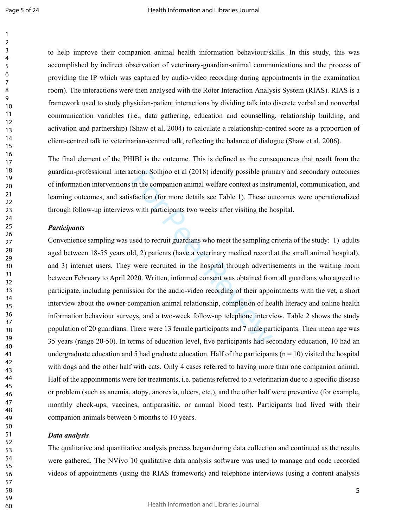to help improve their companion animal health information behaviour/skills. In this study, this was accomplished by indirect observation of veterinary-guardian-animal communications and the process of providing the IP which was captured by audio-video recording during appointments in the examination room). The interactions were then analysed with the Roter Interaction Analysis System (RIAS). RIAS is a framework used to study physician-patient interactions by dividing talk into discrete verbal and nonverbal communication variables (i.e., data gathering, education and counselling, relationship building, and activation and partnership) (Shaw et al, 2004) to calculate a relationship-centred score as a proportion of client-centred talk to veterinarian-centred talk, reflecting the balance of dialogue (Shaw et al, 2006).

The final element of the PHIBI is the outcome. This is defined as the consequences that result from the guardian-professional interaction. Solhjoo et al (2018) identify possible primary and secondary outcomes of information interventions in the companion animal welfare context as instrumental, communication, and learning outcomes, and satisfaction (for more details see Table 1). These outcomes were operationalized through follow-up interviews with participants two weeks after visiting the hospital.

## *Participants*

ction. Solhjoo et al (2018) identify possible prin<br>in the companion animal welfare context as instr<br>sfaction (for more details see Table 1). These ou<br>s with participants two weeks after visiting the h<br>used to recruit guard Convenience sampling was used to recruit guardians who meet the sampling criteria of the study: 1) adults aged between 18-55 years old, 2) patients (have a veterinary medical record at the small animal hospital), and 3) internet users. They were recruited in the hospital through advertisements in the waiting room between February to April 2020. Written, informed consent was obtained from all guardians who agreed to participate, including permission for the audio-video recording of their appointments with the vet, a short interview about the owner-companion animal relationship, completion of health literacy and online health information behaviour surveys, and a two-week follow-up telephone interview. Table 2 shows the study population of 20 guardians. There were 13 female participants and 7 male participants. Their mean age was 35 years (range 20-50). In terms of education level, five participants had secondary education, 10 had an undergraduate education and 5 had graduate education. Half of the participants ( $n = 10$ ) visited the hospital with dogs and the other half with cats. Only 4 cases referred to having more than one companion animal. Half of the appointments were for treatments, i.e. patients referred to a veterinarian due to a specific disease or problem (such as anemia, atopy, anorexia, ulcers, etc.), and the other half were preventive (for example, monthly check-ups, vaccines, antiparasitic, or annual blood test). Participants had lived with their companion animals between 6 months to 10 years.

## *Data analysis*

The qualitative and quantitative analysis process began during data collection and continued as the results were gathered. The NVivo 10 qualitative data analysis software was used to manage and code recorded videos of appointments (using the RIAS framework) and telephone interviews (using a content analysis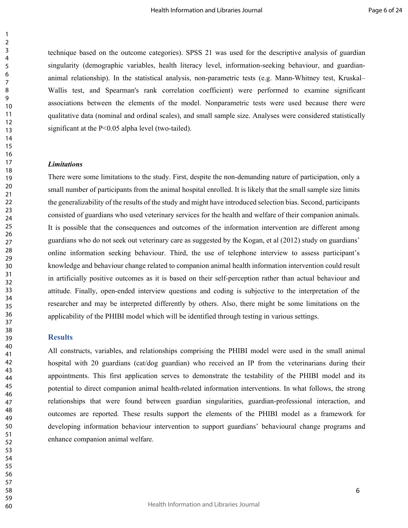technique based on the outcome categories). SPSS 21 was used for the descriptive analysis of guardian singularity (demographic variables, health literacy level, information-seeking behaviour, and guardiananimal relationship). In the statistical analysis, non-parametric tests (e.g. Mann-Whitney test, Kruskal– Wallis test, and Spearman's rank correlation coefficient) were performed to examine significant associations between the elements of the model. Nonparametric tests were used because there were qualitative data (nominal and ordinal scales), and small sample size. Analyses were considered statistically significant at the P<0.05 alpha level (two-tailed).

## *Limitations*

There were some limitations to the study. First, despite the non-demanding nature of participation, only a small number of participants from the animal hospital enrolled. It is likely that the small sample size limits the generalizability of the results of the study and might have introduced selection bias. Second, participants consisted of guardians who used veterinary services for the health and welfare of their companion animals. It is possible that the consequences and outcomes of the information intervention are different among guardians who do not seek out veterinary care as suggested by the Kogan, et al (2012) study on guardians' online information seeking behaviour. Third, the use of telephone interview to assess participant's knowledge and behaviour change related to companion animal health information intervention could result in artificially positive outcomes as it is based on their self-perception rather than actual behaviour and attitude. Finally, open-ended interview questions and coding is subjective to the interpretation of the researcher and may be interpreted differently by others. Also, there might be some limitations on the applicability of the PHIBI model which will be identified through testing in various settings.

## **Results**

All constructs, variables, and relationships comprising the PHIBI model were used in the small animal hospital with 20 guardians (cat/dog guardian) who received an IP from the veterinarians during their appointments. This first application serves to demonstrate the testability of the PHIBI model and its potential to direct companion animal health-related information interventions. In what follows, the strong relationships that were found between guardian singularities, guardian-professional interaction, and outcomes are reported. These results support the elements of the PHIBI model as a framework for developing information behaviour intervention to support guardians' behavioural change programs and enhance companion animal welfare.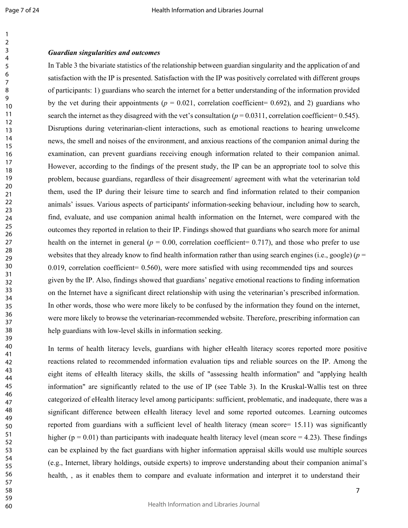#### *Guardian singularities and outcomes*

In Table 3 the bivariate statistics of the relationship between guardian singularity and the application of and satisfaction with the IP is presented. Satisfaction with the IP was positively correlated with different groups of participants: 1) guardians who search the internet for a better understanding of the information provided by the vet during their appointments ( $p = 0.021$ , correlation coefficient= 0.692), and 2) guardians who search the internet as they disagreed with the vet's consultation ( $p = 0.0311$ , correlation coefficient= 0.545). Disruptions during veterinarian-client interactions, such as emotional reactions to hearing unwelcome news, the smell and noises of the environment, and anxious reactions of the companion animal during the examination, can prevent guardians receiving enough information related to their companion animal. However, according to the findings of the present study, the IP can be an appropriate tool to solve this problem, because guardians, regardless of their disagreement/ agreement with what the veterinarian told them, used the IP during their leisure time to search and find information related to their companion animals' issues. Various aspects of participants' information-seeking behaviour, including how to search, find, evaluate, and use companion animal health information on the Internet, were compared with the outcomes they reported in relation to their IP. Findings showed that guardians who search more for animal health on the internet in general ( $p = 0.00$ , correlation coefficient= 0.717), and those who prefer to use websites that they already know to find health information rather than using search engines (i.e., google) (*p* = 0.019, correlation coefficient= 0.560), were more satisfied with using recommended tips and sources given by the IP. Also, findings showed that guardians' negative emotional reactions to finding information on the Internet have a significant direct relationship with using the veterinarian's prescribed information. In other words, those who were more likely to be confused by the information they found on the internet, were more likely to browse the veterinarian-recommended website. Therefore, prescribing information can help guardians with low-level skills in information seeking.

In terms of health literacy levels, guardians with higher eHealth literacy scores reported more positive reactions related to recommended information evaluation tips and reliable sources on the IP. Among the eight items of eHealth literacy skills, the skills of "assessing health information" and "applying health information" are significantly related to the use of IP (see Table 3). In the Kruskal-Wallis test on three categorized of eHealth literacy level among participants: sufficient, problematic, and inadequate, there was a significant difference between eHealth literacy level and some reported outcomes. Learning outcomes reported from guardians with a sufficient level of health literacy (mean score= 15.11) was significantly higher ( $p = 0.01$ ) than participants with inadequate health literacy level (mean score = 4.23). These findings can be explained by the fact guardians with higher information appraisal skills would use multiple sources (e.g., Internet, library holdings, outside experts) to improve understanding about their companion animal's health, , as it enables them to compare and evaluate information and interpret it to understand their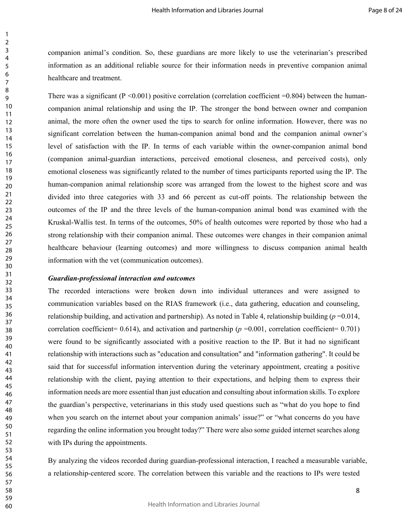companion animal's condition. So, these guardians are more likely to use the veterinarian's prescribed information as an additional reliable source for their information needs in preventive companion animal healthcare and treatment.

There was a significant ( $P \le 0.001$ ) positive correlation (correlation coefficient =0.804) between the humancompanion animal relationship and using the IP. The stronger the bond between owner and companion animal, the more often the owner used the tips to search for online information. However, there was no significant correlation between the human-companion animal bond and the companion animal owner's level of satisfaction with the IP. In terms of each variable within the owner-companion animal bond (companion animal-guardian interactions, perceived emotional closeness, and perceived costs), only emotional closeness was significantly related to the number of times participants reported using the IP. The human-companion animal relationship score was arranged from the lowest to the highest score and was divided into three categories with 33 and 66 percent as cut-off points. The relationship between the outcomes of the IP and the three levels of the human-companion animal bond was examined with the Kruskal-Wallis test. In terms of the outcomes, 50% of health outcomes were reported by those who had a strong relationship with their companion animal. These outcomes were changes in their companion animal healthcare behaviour (learning outcomes) and more willingness to discuss companion animal health information with the vet (communication outcomes).

#### *Guardian-professional interaction and outcomes*

The recorded interactions were broken down into individual utterances and were assigned to communication variables based on the RIAS framework (i.e., data gathering, education and counseling, relationship building, and activation and partnership). As noted in Table 4, relationship building  $(p=0.014, p=0.014)$ correlation coefficient=  $0.614$ ), and activation and partnership ( $p = 0.001$ , correlation coefficient=  $0.701$ ) were found to be significantly associated with a positive reaction to the IP. But it had no significant relationship with interactions such as "education and consultation" and "information gathering". It could be said that for successful information intervention during the veterinary appointment, creating a positive relationship with the client, paying attention to their expectations, and helping them to express their information needs are more essential than just education and consulting about information skills. To explore the guardian's perspective, veterinarians in this study used questions such as "what do you hope to find when you search on the internet about your companion animals' issue?" or "what concerns do you have regarding the online information you brought today?" There were also some guided internet searches along with IPs during the appointments.

By analyzing the videos recorded during guardian-professional interaction, I reached a measurable variable, a relationship-centered score. The correlation between this variable and the reactions to IPs were tested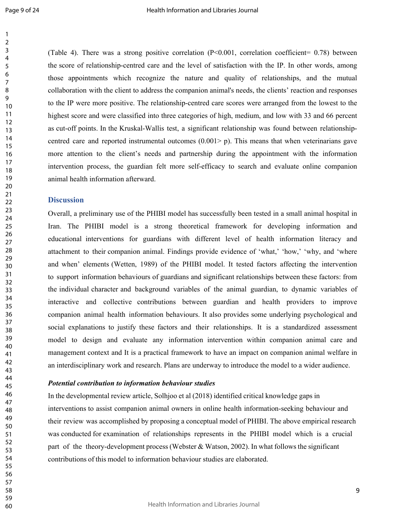(Table 4). There was a strong positive correlation ( $P<0.001$ , correlation coefficient= 0.78) between the score of relationship-centred care and the level of satisfaction with the IP. In other words, among those appointments which recognize the nature and quality of relationships, and the mutual collaboration with the client to address the companion animal's needs, the clients' reaction and responses to the IP were more positive. The relationship-centred care scores were arranged from the lowest to the highest score and were classified into three categories of high, medium, and low with 33 and 66 percent as cut-off points. In the Kruskal-Wallis test, a significant relationship was found between relationshipcentred care and reported instrumental outcomes  $(0.001> p)$ . This means that when veterinarians gave more attention to the client's needs and partnership during the appointment with the information intervention process, the guardian felt more self-efficacy to search and evaluate online companion animal health information afterward.

### **Discussion**

Overall, a preliminary use of the PHIBI model has successfully been tested in a small animal hospital in Iran. The PHIBI model is a strong theoretical framework for developing information and educational interventions for guardians with different level of health information literacy and attachment to their companion animal. Findings provide evidence of 'what,' 'how,' 'why, and 'where and when' elements (Wetten, 1989) of the PHIBI model. It tested factors affecting the intervention to support information behaviours of guardians and significant relationships between these factors: from the individual character and background variables of the animal guardian, to dynamic variables of interactive and collective contributions between guardian and health providers to improve companion animal health information behaviours. It also provides some underlying psychological and social explanations to justify these factors and their relationships. It is a standardized assessment model to design and evaluate any information intervention within companion animal care and management context and It is a practical framework to have an impact on companion animal welfare in an interdisciplinary work and research. Plans are underway to introduce the model to a wider audience.

#### *Potential contribution to information behaviour studies*

In the developmental review article, Solhjoo et al (2018) identified critical knowledge gaps in interventions to assist companion animal owners in online health information-seeking behaviour and their review was accomplished by proposing a conceptual model of PHIBI. The above empirical research was conducted for examination of relationships represents in the PHIBI model which is a crucial part of the theory-development process (Webster & Watson, 2002). In what follows the significant contributions of this model to information behaviour studies are elaborated.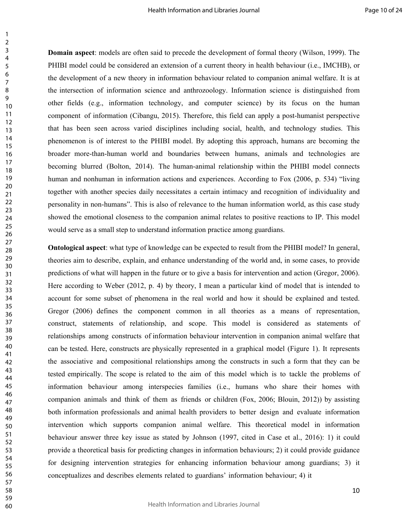**Domain aspect**: models are often said to precede the development of formal theory (Wilson, 1999). The PHIBI model could be considered an extension of a current theory in health behaviour (i.e., IMCHB), or the development of a new theory in information behaviour related to companion animal welfare. It is at the intersection of information science and anthrozoology. Information science is distinguished from other fields (e.g., information technology, and computer science) by its focus on the human component of information (Cibangu, 2015). Therefore, this field can apply a post-humanist perspective that has been seen across varied disciplines including social, health, and technology studies. This phenomenon is of interest to the PHIBI model. By adopting this approach, humans are becoming the broader more-than-human world and boundaries between humans, animals and technologies are becoming blurred (Bolton, 2014). The human-animal relationship within the PHIBI model connects human and nonhuman in information actions and experiences. According to Fox (2006, p. 534) "living together with another species daily necessitates a certain intimacy and recognition of individuality and personality in non-humans". This is also of relevance to the human information world, as this case study showed the emotional closeness to the companion animal relates to positive reactions to IP. This model would serve as a small step to understand information practice among guardians.

**Ontological aspect**: what type of knowledge can be expected to result from the PHIBI model? In general, theories aim to describe, explain, and enhance understanding of the world and, in some cases, to provide predictions of what will happen in the future or to give a basis for intervention and action (Gregor, 2006). Here according to Weber (2012, p. 4) by theory, I mean a particular kind of model that is intended to account for some subset of phenomena in the real world and how it should be explained and tested. Gregor (2006) defines the component common in all theories as a means of representation, construct, statements of relationship, and scope. This model is considered as statements of relationships among constructs of information behaviour intervention in companion animal welfare that can be tested. Here, constructs are physically represented in a graphical model (Figure 1). It represents the associative and compositional relationships among the constructs in such a form that they can be tested empirically. The scope is related to the aim of this model which is to tackle the problems of information behaviour among interspecies families (i.e., humans who share their homes with companion animals and think of them as friends or children (Fox, 2006; Blouin, 2012)) by assisting both information professionals and animal health providers to better design and evaluate information intervention which supports companion animal welfare. This theoretical model in information behaviour answer three key issue as stated by Johnson (1997, cited in Case et al., 2016): 1) it could provide a theoretical basis for predicting changes in information behaviours; 2) it could provide guidance for designing intervention strategies for enhancing information behaviour among guardians; 3) it conceptualizes and describes elements related to guardians' information behaviour; 4) it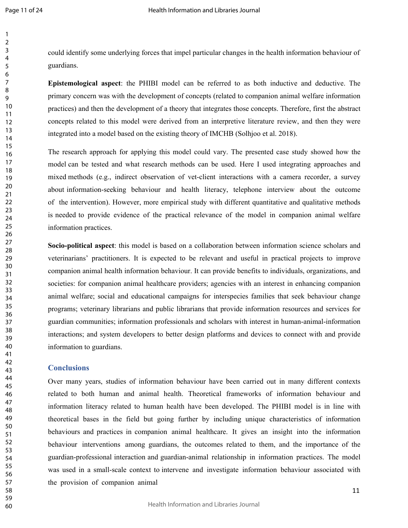could identify some underlying forces that impel particular changes in the health information behaviour of guardians.

**Epistemological aspect**: the PHIBI model can be referred to as both inductive and deductive. The primary concern was with the development of concepts (related to companion animal welfare information practices) and then the development of a theory that integrates those concepts. Therefore, first the abstract concepts related to this model were derived from an interpretive literature review, and then they were integrated into a model based on the existing theory of IMCHB (Solhjoo et al. 2018).

The research approach for applying this model could vary. The presented case study showed how the model can be tested and what research methods can be used. Here I used integrating approaches and mixed methods (e.g., indirect observation of vet-client interactions with a camera recorder, a survey about information-seeking behaviour and health literacy, telephone interview about the outcome of the intervention). However, more empirical study with different quantitative and qualitative methods is needed to provide evidence of the practical relevance of the model in companion animal welfare information practices.

**Socio-political aspect**: this model is based on a collaboration between information science scholars and veterinarians' practitioners. It is expected to be relevant and useful in practical projects to improve companion animal health information behaviour. It can provide benefits to individuals, organizations, and societies: for companion animal healthcare providers; agencies with an interest in enhancing companion animal welfare; social and educational campaigns for interspecies families that seek behaviour change programs; veterinary librarians and public librarians that provide information resources and services for guardian communities; information professionals and scholars with interest in human-animal-information interactions; and system developers to better design platforms and devices to connect with and provide information to guardians.

#### **Conclusions**

Over many years, studies of information behaviour have been carried out in many different contexts related to both human and animal health. Theoretical frameworks of information behaviour and information literacy related to human health have been developed. The PHIBI model is in line with theoretical bases in the field but going further by including unique characteristics of information behaviours and practices in companion animal healthcare. It gives an insight into the information behaviour interventions among guardians, the outcomes related to them, and the importance of the guardian-professional interaction and guardian-animal relationship in information practices. The model was used in a small-scale context to intervene and investigate information behaviour associated with the provision of companion animal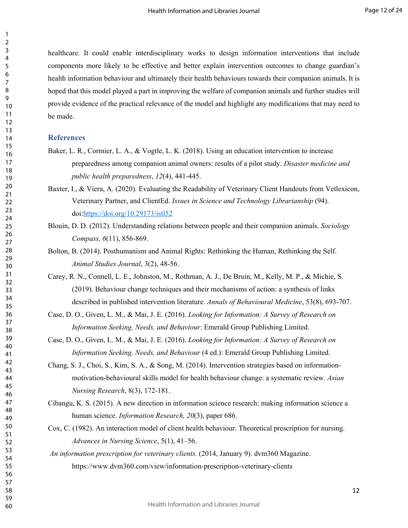healthcare. It could enable interdisciplinary works to design information interventions that include components more likely to be effective and better explain intervention outcomes to change guardian's health information behaviour and ultimately their health behaviours towards their companion animals. It is hoped that this model played a part in improving the welfare of companion animals and further studies will provide evidence of the practical relevance of the model and highlight any modifications that may need to be made.

#### **References**

- Baker, L. R., Cormier, L. A., & Vogtle, L. K. (2018). Using an education intervention to increase preparedness among companion animal owners: results of a pilot study. *Disaster medicine and public health preparedness*, *12*(4), 441-445.
- Veterinary Partner, and ClientEd. *Issues in Science and Technology Librarianship* (94). doi[:https://doi.org/10.29173/istl52](https://doi.org/10.29173/istl52) Baxter, I., & Viera, A. (2020). Evaluating the Readability of Veterinary Client Handouts from Vetlexicon.
- Blouin, D. D. (2012). Understanding relations between people and their companion animals. *Sociology Compass, 6*(11), 856-869.
- Bolton, B. (2014). Posthumanism and Animal Rights: Rethinking the Human, Rethinking the Self. *Animal Studies Journal*, 3(2), 48-56.
- Carey, R. N., Connell, L. E., Johnston, M., Rothman, A. J., De Bruin, M., Kelly, M. P., & Michie, S. (2019). Behaviour change techniques and their mechanisms of action: a synthesis of links described in published intervention literature. *Annals of Behavioural Medicine*, 53(8), 693-707.
- Case, D. O., Given, L. M., & Mai, J. E. (2016). *Looking for Information: A Survey of Research on Information Seeking, Needs, and Behaviour*: Emerald Group Publishing Limited.
- Case, D. O., Given, L. M., & Mai, J. E. (2016). *Looking for Information: A Survey of Research on Information Seeking, Needs, and Behaviour* (4 ed.): Emerald Group Publishing Limited.
- Chang, S. J., Choi, S., Kim, S. A., & Song, M. (2014). Intervention strategies based on informationmotivation-behavioural skills model for health behaviour change: a systematic review. *Asian Nursing Research*, 8(3), 172-181.
- Cibangu, K. S. (2015). A new direction in information science research: making information science a human science. *Information Research, 20*(3), paper 686.
- Cox, C. (1982). An interaction model of client health behaviour: Theoretical prescription for nursing. *Advances in Nursing Science*, 5(1), 41–56.
- *An information prescription for veterinary clients.* (2014, January 9). dvm360 Magazine. https://www.dvm360.com/view/information-prescription-veterinary-clients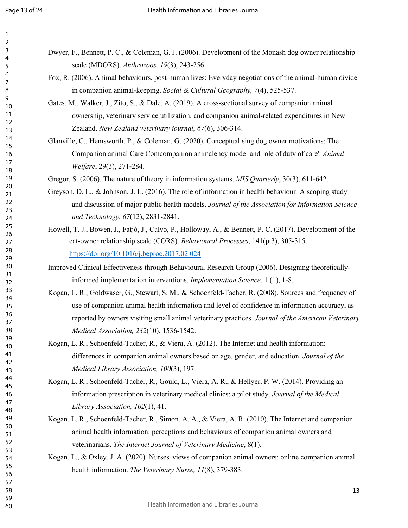Dwyer, F., Bennett, P. C., & Coleman, G. J. (2006). Development of the Monash dog owner relationship scale (MDORS). *Anthrozoös, 19*(3), 243-256. Fox, R. (2006). Animal behaviours, post-human lives: Everyday negotiations of the animal-human divide

in companion animal-keeping. *Social & Cultural Geography, 7*(4), 525-537.

- Gates, M., Walker, J., Zito, S., & Dale, A. (2019). A cross-sectional survey of companion animal ownership, veterinary service utilization, and companion animal-related expenditures in New Zealand. *New Zealand veterinary journal, 67*(6), 306-314.
- Glanville, C., Hemsworth, P., & Coleman, G. (2020). Conceptualising dog owner motivations: The Companion animal Care Comcompanion animalency model and role of'duty of care'. *Animal Welfare*, 29(3), 271-284.

Gregor, S. (2006). The nature of theory in information systems. *MIS Quarterly*, 30(3), 611-642.

- Greyson, D. L., & Johnson, J. L. (2016). The role of information in health behaviour: A scoping study and discussion of major public health models. *Journal of the Association for Information Science and Technology*, *67*(12), 2831-2841.
- Howell, T. J., Bowen, J., Fatjó, J., Calvo, P., Holloway, A., & Bennett, P. C. (2017). Development of the cat-owner relationship scale (CORS). *Behavioural Processes*, 141(pt3), 305-315. <https://doi.org/10.1016/j.beproc.2017.02.024>

Improved Clinical Effectiveness through Behavioural Research Group (2006). Designing theoreticallyinformed implementation interventions. *Implementation Science*, 1 (1), 1-8.

- Kogan, L. R., Goldwaser, G., Stewart, S. M., & Schoenfeld-Tacher, R. (2008). Sources and frequency of use of companion animal health information and level of confidence in information accuracy, as reported by owners visiting small animal veterinary practices. *Journal of the American Veterinary Medical Association, 232*(10), 1536-1542.
- Kogan, L. R., Schoenfeld-Tacher, R., & Viera, A. (2012). The Internet and health information: differences in companion animal owners based on age, gender, and education. *Journal of the Medical Library Association, 100*(3), 197.
- Kogan, L. R., Schoenfeld-Tacher, R., Gould, L., Viera, A. R., & Hellyer, P. W. (2014). Providing an information prescription in veterinary medical clinics: a pilot study. *Journal of the Medical Library Association, 102*(1), 41.
- Kogan, L. R., Schoenfeld-Tacher, R., Simon, A. A., & Viera, A. R. (2010). The Internet and companion animal health information: perceptions and behaviours of companion animal owners and veterinarians. *The Internet Journal of Veterinary Medicine*, 8(1).
- Kogan, L., & Oxley, J. A. (2020). Nurses' views of companion animal owners: online companion animal health information. *The Veterinary Nurse, 11*(8), 379-383.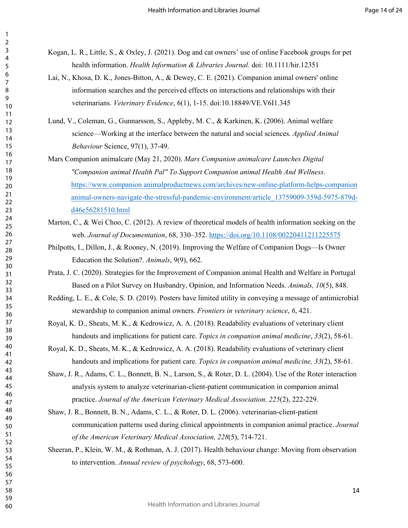Kogan, L. R., Little, S., & Oxley, J. (2021). Dog and cat owners' use of online Facebook groups for pet health information. *Health Information & Libraries Journal*. doi: 10.1111/hir.12351

- Lai, N., Khosa, D. K., Jones-Bitton, A., & Dewey, C. E. (2021). Companion animal owners' online information searches and the perceived effects on interactions and relationships with their veterinarians. *Veterinary Evidence*, 6(1), 1-15. doi:10.18849/VE.V6I1.345
- Lund, V., Coleman, G., Gunnarsson, S., Appleby, M. C., & Karkinen, K. (2006). Animal welfare science—Working at the interface between the natural and social sciences*. Applied Animal Behaviour* Science, 97(1), 37-49.
- Mars Companion animalcare (May 21, 2020). *Mars Companion animalcare Launches Digital "Companion animal Health Pal" To Support Companion animal Health And Wellness*. [https://www.companion animalproductnews.com/archives/new-online-platform-helps-companion](https://www.petproductnews.com/archives/new-online-platform-helps-pet-owners-navigate-the-stressful-pandemic-environment/article_13759009-359d-5975-879d-d46e56281510.html)  [animal-owners-navigate-the-stressful-pandemic-environment/article\\_13759009-359d-5975-879d](https://www.petproductnews.com/archives/new-online-platform-helps-pet-owners-navigate-the-stressful-pandemic-environment/article_13759009-359d-5975-879d-d46e56281510.html)[d46e56281510.html](https://www.petproductnews.com/archives/new-online-platform-helps-pet-owners-navigate-the-stressful-pandemic-environment/article_13759009-359d-5975-879d-d46e56281510.html)
- Marton, C., & Wei Choo, C. (2012). A review of theoretical models of health information seeking on the web. *Journal of Documentation*, 68, 330–352. <https://doi.org/10.1108/00220411211225575>
- Philpotts, I., Dillon, J., & Rooney, N. (2019). Improving the Welfare of Companion Dogs—Is Owner Education the Solution?. *Animals*, 9(9), 662.
- Prata, J. C. (2020). Strategies for the Improvement of Companion animal Health and Welfare in Portugal Based on a Pilot Survey on Husbandry, Opinion, and Information Needs. *Animals, 10*(5), 848.
- Redding, L. E., & Cole, S. D. (2019). Posters have limited utility in conveying a message of antimicrobial stewardship to companion animal owners. *Frontiers in veterinary science*, *6*, 421.
- Royal, K. D., Sheats, M. K., & Kedrowicz, A. A. (2018). Readability evaluations of veterinary client handouts and implications for patient care. *Topics in companion animal medicine*, *33*(2), 58-61.
- Royal, K. D., Sheats, M. K., & Kedrowicz, A. A. (2018). Readability evaluations of veterinary client handouts and implications for patient care. *Topics in companion animal medicine, 33*(2), 58-61.
- Shaw, J. R., Adams, C. L., Bonnett, B. N., Larson, S., & Roter, D. L. (2004). Use of the Roter interaction analysis system to analyze veterinarian-client-patient communication in companion animal practice. *Journal of the American Veterinary Medical Association, 225*(2), 222-229.
- Shaw, J. R., Bonnett, B. N., Adams, C. L., & Roter, D. L. (2006). veterinarian-client-patient communication patterns used during clinical appointments in companion animal practice. *Journal of the American Veterinary Medical Association, 228*(5), 714-721.
- Sheeran, P., Klein, W. M., & Rothman, A. J. (2017). Health behaviour change: Moving from observation to intervention. *Annual review of psychology*, 68, 573-600.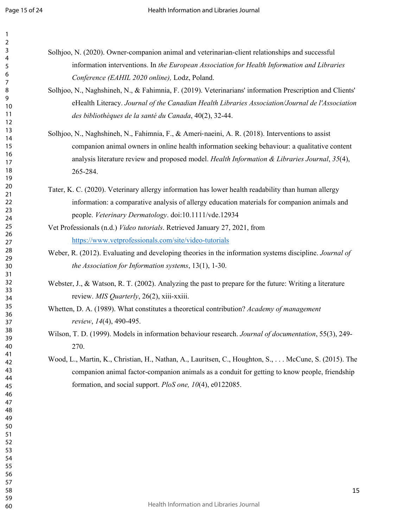- Solhjoo, N. (2020). Owner-companion animal and veterinarian-client relationships and successful information interventions. In *the European Association for Health Information and Libraries Conference (EAHIL 2020 online),* Lodz, Poland.
	- Solhjoo, N., Naghshineh, N., & Fahimnia, F. (2019). Veterinarians' information Prescription and Clients' eHealth Literacy. *Journal of the Canadian Health Libraries Association/Journal de l'Association des bibliothèques de la santé du Canada*, 40(2), 32-44.
	- Solhjoo, N., Naghshineh, N., Fahimnia, F., & Ameri‐naeini, A. R. (2018). Interventions to assist companion animal owners in online health information seeking behaviour: a qualitative content analysis literature review and proposed model. *Health Information & Libraries Journal*, *35*(4), 265-284.
	- Tater, K. C. (2020). Veterinary allergy information has lower health readability than human allergy information: a comparative analysis of allergy education materials for companion animals and people. *Veterinary Dermatology*. doi:10.1111/vde.12934
	- Vet Professionals (n.d.) *Video tutorials*. Retrieved January 27, 2021, from <https://www.vetprofessionals.com/site/video-tutorials>
	- Weber, R. (2012). Evaluating and developing theories in the information systems discipline. *Journal of the Association for Information systems*, 13(1), 1-30.
- Webster, J., & Watson, R. T. (2002). Analyzing the past to prepare for the future: Writing a literature review. *MIS Quarterly*, 26(2), xiii-xxiii.
- Whetten, D. A. (1989). What constitutes a theoretical contribution? *Academy of management review*, *14*(4), 490-495.
- Wilson, T. D. (1999). Models in information behaviour research. *Journal of documentation*, 55(3), 249- 270.
- Wood, L., Martin, K., Christian, H., Nathan, A., Lauritsen, C., Houghton, S., . . . McCune, S. (2015). The companion animal factor-companion animals as a conduit for getting to know people, friendship formation, and social support. *PloS one, 10*(4), e0122085.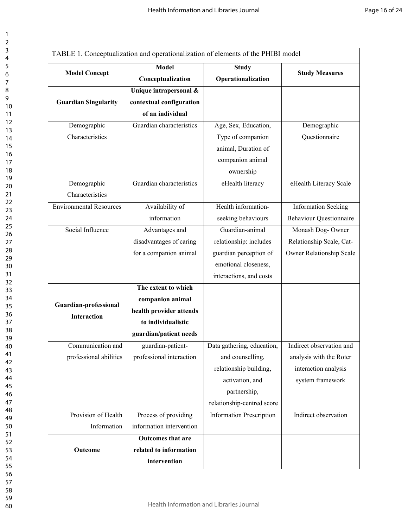|                                | <b>Model</b>             | <b>Study</b>                    |                                |  |
|--------------------------------|--------------------------|---------------------------------|--------------------------------|--|
| <b>Model Concept</b>           |                          |                                 | <b>Study Measures</b>          |  |
|                                | Conceptualization        | Operationalization              |                                |  |
|                                | Unique intrapersonal &   |                                 |                                |  |
| <b>Guardian Singularity</b>    | contextual configuration |                                 |                                |  |
|                                | of an individual         |                                 |                                |  |
| Demographic                    | Guardian characteristics | Age, Sex, Education,            | Demographic                    |  |
| Characteristics                |                          | Type of companion               | Questionnaire                  |  |
|                                |                          | animal, Duration of             |                                |  |
|                                |                          | companion animal                |                                |  |
|                                |                          | ownership                       |                                |  |
| Demographic                    | Guardian characteristics | eHealth literacy                | eHealth Literacy Scale         |  |
| Characteristics                |                          |                                 |                                |  |
| <b>Environmental Resources</b> | Availability of          | Health information-             | <b>Information Seeking</b>     |  |
|                                | information              | seeking behaviours              | <b>Behaviour Questionnaire</b> |  |
| Social Influence               | Advantages and           | Guardian-animal                 | Monash Dog-Owner               |  |
|                                | disadvantages of caring  | relationship: includes          | Relationship Scale, Cat-       |  |
|                                | for a companion animal   | guardian perception of          | Owner Relationship Scale       |  |
|                                |                          | emotional closeness,            |                                |  |
|                                |                          | interactions, and costs         |                                |  |
|                                | The extent to which      |                                 |                                |  |
|                                | companion animal         |                                 |                                |  |
| Guardian-professional          | health provider attends  |                                 |                                |  |
| <b>Interaction</b>             | to individualistic       |                                 |                                |  |
|                                | guardian/patient needs   |                                 |                                |  |
| Communication and              | guardian-patient-        | Data gathering, education,      | Indirect observation and       |  |
| professional abilities         | professional interaction | and counselling,                | analysis with the Roter        |  |
|                                |                          | relationship building,          | interaction analysis           |  |
|                                |                          |                                 |                                |  |
|                                |                          | activation, and                 | system framework               |  |
|                                |                          | partnership,                    |                                |  |
|                                |                          | relationship-centred score      |                                |  |
| Provision of Health            | Process of providing     | <b>Information Prescription</b> | Indirect observation           |  |
| Information                    | information intervention |                                 |                                |  |
|                                | Outcomes that are        |                                 |                                |  |
| Outcome                        | related to information   |                                 |                                |  |
|                                | intervention             |                                 |                                |  |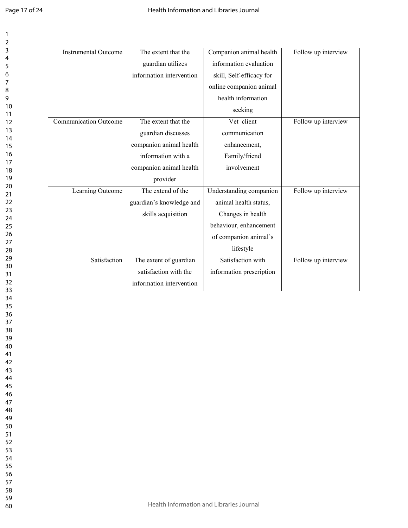| The extent that the<br><b>Instrumental Outcome</b> |                          | Companion animal health  | Follow up interview |
|----------------------------------------------------|--------------------------|--------------------------|---------------------|
|                                                    | guardian utilizes        | information evaluation   |                     |
|                                                    | information intervention | skill, Self-efficacy for |                     |
|                                                    |                          | online companion animal  |                     |
|                                                    |                          | health information       |                     |
|                                                    |                          | seeking                  |                     |
| <b>Communication Outcome</b>                       | The extent that the      | Vet-client               | Follow up interview |
|                                                    | guardian discusses       | communication            |                     |
|                                                    | companion animal health  | enhancement,             |                     |
|                                                    | information with a       | Family/friend            |                     |
|                                                    | companion animal health  | involvement              |                     |
|                                                    | provider                 |                          |                     |
| Learning Outcome                                   | The extend of the        | Understanding companion  | Follow up interview |
|                                                    | guardian's knowledge and | animal health status,    |                     |
|                                                    | skills acquisition       | Changes in health        |                     |
|                                                    |                          | behaviour, enhancement   |                     |
|                                                    |                          | of companion animal's    |                     |
|                                                    |                          | lifestyle                |                     |
| Satisfaction                                       | The extent of guardian   | Satisfaction with        | Follow up interview |
|                                                    | satisfaction with the    | information prescription |                     |
|                                                    | information intervention |                          |                     |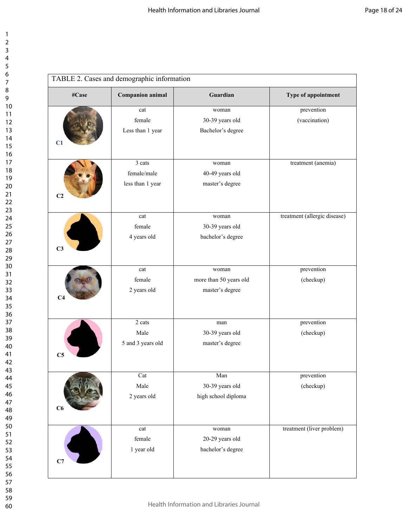| TABLE 2. Cases and demographic information |                                   |                                               |                              |  |
|--------------------------------------------|-----------------------------------|-----------------------------------------------|------------------------------|--|
| #Case                                      | <b>Companion animal</b>           | Guardian                                      | Type of appointment          |  |
|                                            | cat<br>female<br>Less than 1 year | woman<br>30-39 years old<br>Bachelor's degree | prevention<br>(vaccination)  |  |
| C <sub>1</sub>                             |                                   |                                               |                              |  |
|                                            | 3 cats                            | woman                                         | treatment (anemia)           |  |
|                                            | female/male                       | 40-49 years old                               |                              |  |
| C <sub>2</sub>                             | less than 1 year                  | master's degree                               |                              |  |
|                                            | cat                               | woman                                         | treatment (allergic disease) |  |
|                                            | female                            | 30-39 years old                               |                              |  |
| C <sub>3</sub>                             | 4 years old                       | bachelor's degree                             |                              |  |
|                                            | cat                               | woman                                         | prevention                   |  |
|                                            | female                            | more than 50 years old                        | (checkup)                    |  |
| C <sub>4</sub>                             | 2 years old                       | master's degree                               |                              |  |
|                                            | 2 cats                            | man                                           | prevention                   |  |
|                                            | Male                              | 30-39 years old                               | (checkup)                    |  |
| C <sub>5</sub>                             | 5 and 3 years old                 | master's degree                               |                              |  |
|                                            | Cat                               | Man                                           | prevention                   |  |
|                                            | Male                              | 30-39 years old                               | (checkup)                    |  |
| C6                                         | 2 years old                       | high school diploma                           |                              |  |
|                                            | cat                               | woman                                         | treatment (liver problem)    |  |
|                                            | female                            | 20-29 years old                               |                              |  |
| C7                                         | 1 year old                        | bachelor's degree                             |                              |  |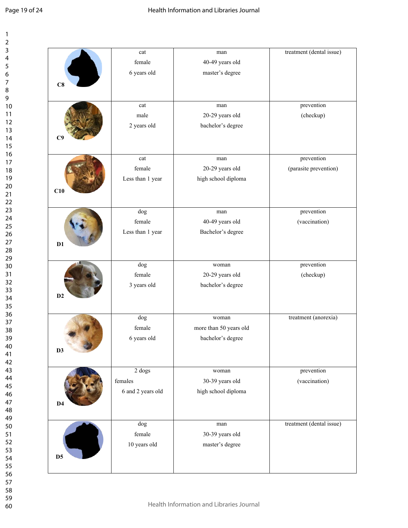| 1                            |
|------------------------------|
| 2                            |
| 3                            |
| 4                            |
| 5                            |
| 6                            |
|                              |
| 8                            |
| $\mathbf$<br>)               |
| 10                           |
| 1                            |
| 1                            |
| $\mathbf{1}$<br>2            |
| 13                           |
| 1<br>4                       |
| 15                           |
| 16                           |
| 1                            |
| 18                           |
| 19                           |
| 20                           |
| $\overline{21}$              |
| $\overline{2}$<br>,          |
| $\overline{2}$<br>3          |
| $\frac{24}{3}$               |
| 25                           |
| 26                           |
|                              |
| 27                           |
| $\overline{28}$              |
| 29                           |
| 30                           |
| $\overline{\textbf{3}}$      |
| $\overline{\mathbf{3}}$<br>, |
| $\overline{\mathbf{3}}$<br>ξ |
| 34                           |
| 35                           |
| 36                           |
| 37                           |
| $\overline{\bf 8}$           |
| 39                           |
| 40                           |
|                              |
| 41                           |
| 42                           |
| 43                           |
| 44                           |
| 45                           |
| 46                           |
| 47                           |
| 48                           |
| 49                           |
| 50                           |
| 51                           |
| 5.<br>2                      |
| 53                           |
| 54                           |
| 55                           |
|                              |
| 56                           |
| 57                           |
| 58                           |
| 59                           |

|                | cat               | man                    | treatment (dental issue) |
|----------------|-------------------|------------------------|--------------------------|
|                | female            | 40-49 years old        |                          |
|                | 6 years old       | master's degree        |                          |
| C8             |                   |                        |                          |
|                |                   |                        |                          |
|                | cat               | man                    | prevention               |
|                | male              | 20-29 years old        | (checkup)                |
|                | 2 years old       | bachelor's degree      |                          |
| CS             |                   |                        |                          |
|                |                   |                        |                          |
|                | cat               | man                    | prevention               |
|                | female            | 20-29 years old        | (parasite prevention)    |
|                | Less than 1 year  | high school diploma    |                          |
| C10            |                   |                        |                          |
|                |                   |                        |                          |
|                | dog               | man                    | prevention               |
|                | female            | 40-49 years old        | (vaccination)            |
|                | Less than 1 year  | Bachelor's degree      |                          |
| D1             |                   |                        |                          |
|                |                   |                        |                          |
|                | dog               | woman                  | prevention               |
|                | female            | 20-29 years old        | (checkup)                |
|                | 3 years old       | bachelor's degree      |                          |
| D2             |                   |                        |                          |
|                |                   |                        |                          |
|                | dog               | woman                  | treatment (anorexia)     |
|                | female            | more than 50 years old |                          |
|                | 6 years old       | bachelor's degree      |                          |
| D <sub>3</sub> |                   |                        |                          |
|                |                   |                        |                          |
|                | $2 \text{ dogs}$  | woman                  | prevention               |
|                | females           | 30-39 years old        | (vaccination)            |
|                | 6 and 2 years old | high school diploma    |                          |
| D <sub>4</sub> |                   |                        |                          |
|                |                   |                        |                          |
|                | dog               | man                    | treatment (dental issue) |
|                | female            | 30-39 years old        |                          |
|                | 10 years old      | master's degree        |                          |
|                |                   |                        |                          |
| D <sub>5</sub> |                   |                        |                          |
|                |                   |                        |                          |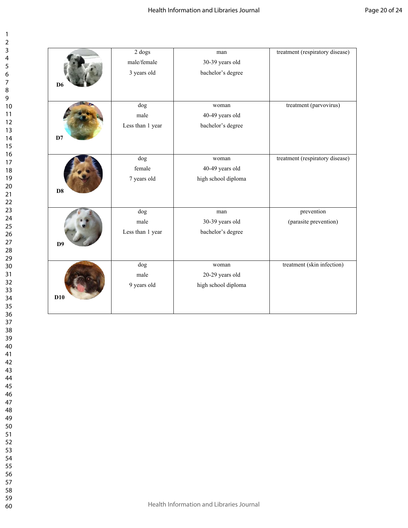| 2                       |                         |
|-------------------------|-------------------------|
| 3                       |                         |
|                         |                         |
| 4                       |                         |
| 5                       |                         |
|                         |                         |
| 6                       |                         |
|                         |                         |
| 8                       |                         |
|                         |                         |
| )<br>¢                  |                         |
|                         | 10                      |
|                         |                         |
| 1                       | $\mathbf{1}$            |
| $\mathbf{1}$            | フ                       |
|                         |                         |
|                         | $\overline{13}$         |
|                         | $\overline{14}$         |
|                         | 15                      |
|                         |                         |
|                         | 16                      |
|                         | 17                      |
|                         |                         |
|                         | 18                      |
|                         | 19                      |
|                         |                         |
|                         | 20                      |
|                         | $\overline{21}$         |
|                         | $\overline{22}$         |
|                         |                         |
|                         | 23                      |
|                         | 24                      |
|                         |                         |
|                         | 25                      |
|                         | 26                      |
|                         |                         |
|                         | $\frac{27}{2}$          |
|                         | $\frac{28}{3}$          |
|                         | 29                      |
|                         |                         |
|                         | 30                      |
|                         | $\overline{\textbf{3}}$ |
|                         |                         |
| $\overline{\mathbf{3}}$ | 2                       |
| $\overline{\mathbf{3}}$ | ξ                       |
|                         |                         |
|                         | 34                      |
|                         | 35                      |
|                         | 36                      |
|                         |                         |
|                         | 37                      |
|                         | 38                      |
|                         |                         |
| 3S                      | J                       |
|                         | 40                      |
|                         |                         |
| 41                      |                         |
|                         | 42                      |
| 43                      |                         |
|                         |                         |
| 44                      |                         |
| 45                      |                         |
|                         |                         |
| 46                      |                         |
| 47                      |                         |
| 48                      |                         |
|                         |                         |
|                         | 49                      |
|                         | 50                      |
|                         |                         |
| 51                      |                         |
| 5                       | 2                       |
| 53                      |                         |
|                         |                         |
|                         | 54                      |
| 55                      |                         |
|                         |                         |
|                         | 56                      |
| 57                      |                         |
|                         |                         |
|                         | 58                      |
|                         | 59                      |
|                         |                         |

|                | $\overline{2 \text{ dogs}}$ | man                 | treatment (respiratory disease) |
|----------------|-----------------------------|---------------------|---------------------------------|
|                | male/female                 | 30-39 years old     |                                 |
|                | 3 years old                 | bachelor's degree   |                                 |
| D <sub>6</sub> |                             |                     |                                 |
|                |                             |                     |                                 |
|                | dog                         | woman               | treatment (parvovirus)          |
|                | male                        | 40-49 years old     |                                 |
|                | Less than 1 year            | bachelor's degree   |                                 |
| D7             |                             |                     |                                 |
|                |                             |                     |                                 |
|                | $\overline{dog}$            | woman               | treatment (respiratory disease) |
|                | female                      | 40-49 years old     |                                 |
|                | 7 years old                 | high school diploma |                                 |
| D <sub>8</sub> |                             |                     |                                 |
|                |                             |                     |                                 |
|                | dog                         | man                 | prevention                      |
|                | male                        | 30-39 years old     | (parasite prevention)           |
|                | Less than 1 year            | bachelor's degree   |                                 |
|                |                             |                     |                                 |
| D <sub>9</sub> |                             |                     |                                 |
|                |                             |                     |                                 |
|                | dog                         | woman               | treatment (skin infection)      |
|                | male                        | 20-29 years old     |                                 |
|                | 9 years old                 | high school diploma |                                 |
| D10            |                             |                     |                                 |
|                |                             |                     |                                 |
|                |                             |                     |                                 |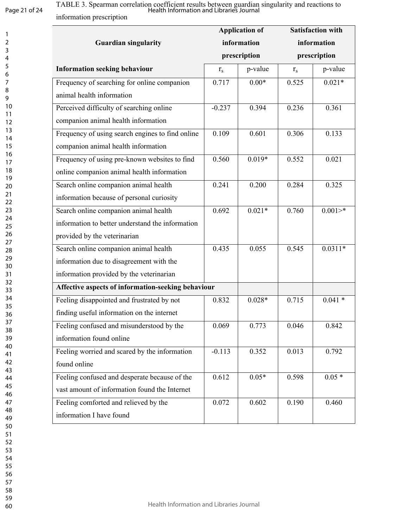# Page 21 of 24

information prescription Health Information and Libraries Journal

|                                                    |                             | <b>Application of</b> |                             | <b>Satisfaction with</b> |
|----------------------------------------------------|-----------------------------|-----------------------|-----------------------------|--------------------------|
| <b>Guardian singularity</b>                        | information<br>prescription |                       | information<br>prescription |                          |
|                                                    |                             |                       |                             |                          |
| <b>Information seeking behaviour</b>               | $r_{s}$                     | p-value               | $r_{s}$                     | p-value                  |
| Frequency of searching for online companion        | 0.717                       | $0.00*$               | 0.525                       | $0.021*$                 |
| animal health information                          |                             |                       |                             |                          |
| Perceived difficulty of searching online           | $-0.237$                    | 0.394                 | 0.236                       | 0.361                    |
| companion animal health information                |                             |                       |                             |                          |
| Frequency of using search engines to find online   | 0.109                       | 0.601                 | 0.306                       | 0.133                    |
| companion animal health information                |                             |                       |                             |                          |
| Frequency of using pre-known websites to find      | 0.560                       | $0.019*$              | 0.552                       | 0.021                    |
| online companion animal health information         |                             |                       |                             |                          |
| Search online companion animal health              | 0.241                       | 0.200                 | 0.284                       | 0.325                    |
| information because of personal curiosity          |                             |                       |                             |                          |
| Search online companion animal health              | 0.692                       | $0.021*$              | 0.760                       | $0.001 >$ *              |
| information to better understand the information   |                             |                       |                             |                          |
| provided by the veterinarian                       |                             |                       |                             |                          |
| Search online companion animal health              | 0.435                       | 0.055                 | 0.545                       | $0.0311*$                |
| information due to disagreement with the           |                             |                       |                             |                          |
| information provided by the veterinarian           |                             |                       |                             |                          |
| Affective aspects of information-seeking behaviour |                             |                       |                             |                          |
| Feeling disappointed and frustrated by not         | 0.832                       | $0.028*$              | 0.715                       | $0.041*$                 |
| finding useful information on the internet         |                             |                       |                             |                          |
| Feeling confused and misunderstood by the          | 0.069                       | 0.773                 | 0.046                       | 0.842                    |
| information found online                           |                             |                       |                             |                          |
| Feeling worried and scared by the information      | $-0.113$                    | 0.352                 | 0.013                       | 0.792                    |
| found online                                       |                             |                       |                             |                          |
| Feeling confused and desperate because of the      | 0.612                       | $0.05*$               | 0.598                       | $0.05*$                  |
| vast amount of information found the Internet      |                             |                       |                             |                          |
| Feeling comforted and relieved by the              | 0.072                       | 0.602                 | 0.190                       | 0.460                    |
| information I have found                           |                             |                       |                             |                          |

TABLE 3. Spearman correlation coefficient results between guardian singularity and reactions to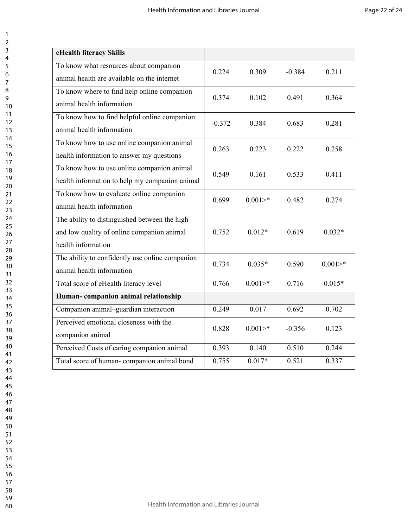| eHealth literacy Skills                                                                                           |          |             |          |             |
|-------------------------------------------------------------------------------------------------------------------|----------|-------------|----------|-------------|
| To know what resources about companion<br>animal health are available on the internet                             | 0.224    | 0.309       | $-0.384$ | 0.211       |
| To know where to find help online companion<br>animal health information                                          | 0.374    | 0.102       | 0.491    | 0.364       |
| To know how to find helpful online companion<br>animal health information                                         | $-0.372$ | 0.384       | 0.683    | 0.281       |
| To know how to use online companion animal<br>health information to answer my questions                           | 0.263    | 0.223       | 0.222    | 0.258       |
| To know how to use online companion animal<br>health information to help my companion animal                      | 0.549    | 0.161       | 0.533    | 0.411       |
| To know how to evaluate online companion<br>animal health information                                             | 0.699    | $0.001 >$ * | 0.482    | 0.274       |
| The ability to distinguished between the high<br>and low quality of online companion animal<br>health information | 0.752    | $0.012*$    | 0.619    | $0.032*$    |
| The ability to confidently use online companion<br>animal health information                                      | 0.734    | $0.035*$    | 0.590    | $0.001 >$ * |
| Total score of eHealth literacy level                                                                             | 0.766    | $0.001 >$ * | 0.716    | $0.015*$    |
| Human-companion animal relationship                                                                               |          |             |          |             |
| Companion animal-guardian interaction                                                                             | 0.249    | 0.017       | 0.692    | 0.702       |
| Perceived emotional closeness with the<br>companion animal                                                        | 0.828    | $0.001 >$ * | $-0.356$ | 0.123       |
| Perceived Costs of caring companion animal                                                                        | 0.393    | 0.140       | 0.510    | 0.244       |
| Total score of human-companion animal bond                                                                        | 0.755    | $0.017*$    | 0.521    | 0.337       |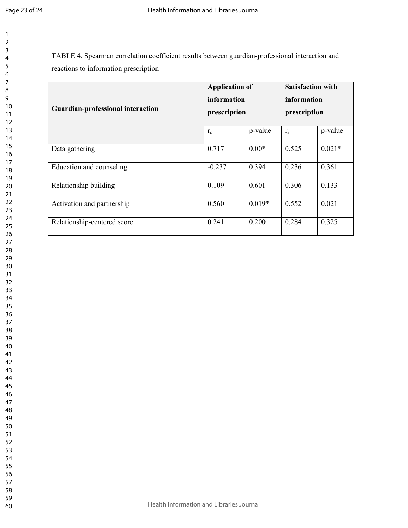TABLE 4. Spearman correlation coefficient results between guardian-professional interaction and reactions to information prescription

|                                          | <b>Application of</b><br>information |          | <b>Satisfaction with</b><br>information |          |
|------------------------------------------|--------------------------------------|----------|-----------------------------------------|----------|
|                                          |                                      |          |                                         |          |
| <b>Guardian-professional interaction</b> | prescription                         |          | prescription                            |          |
|                                          | r <sub>s</sub>                       | p-value  | $r_{\rm s}$                             | p-value  |
| Data gathering                           | 0.717                                | $0.00*$  | 0.525                                   | $0.021*$ |
| Education and counseling                 | $-0.237$                             | 0.394    | 0.236                                   | 0.361    |
| Relationship building                    | 0.109                                | 0.601    | 0.306                                   | 0.133    |
| Activation and partnership               | 0.560                                | $0.019*$ | 0.552                                   | 0.021    |
| Relationship-centered score              | 0.241                                | 0.200    | 0.284                                   | 0.325    |